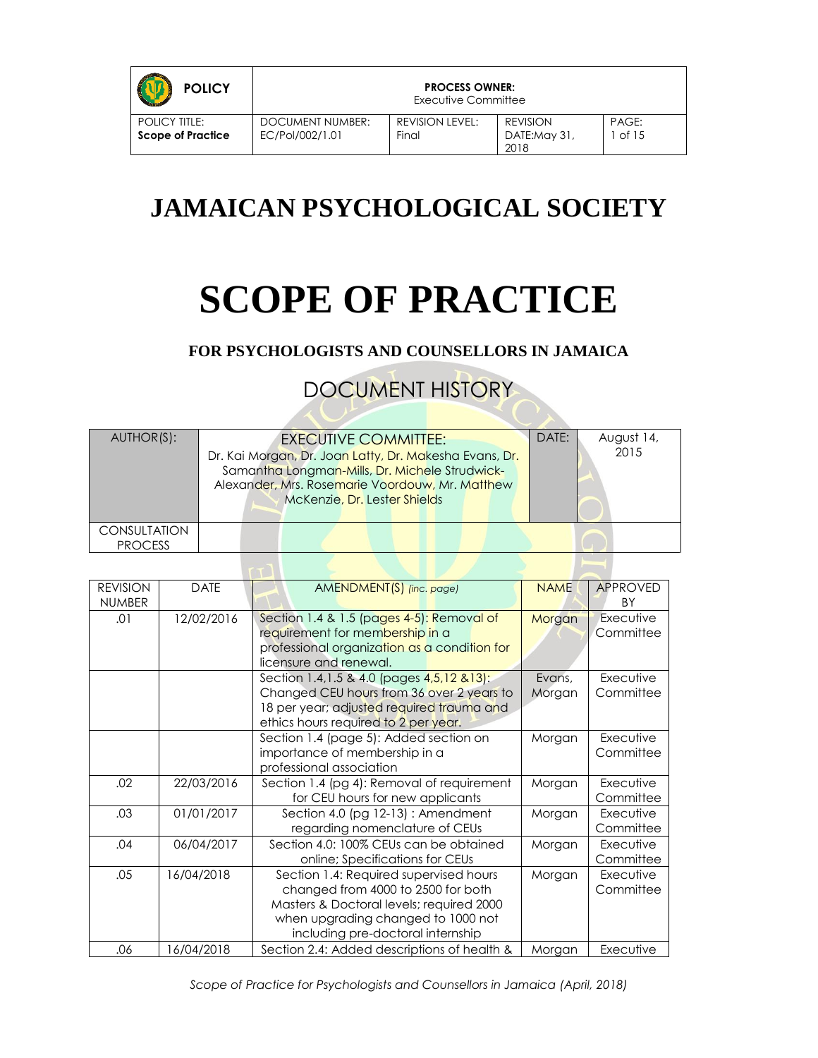| <b>POLICY</b>                                    |                                     | <b>PROCESS OWNER:</b><br>Executive Committee |                                         |                  |
|--------------------------------------------------|-------------------------------------|----------------------------------------------|-----------------------------------------|------------------|
| <b>POLICY TITLE:</b><br><b>Scope of Practice</b> | DOCUMENT NUMBER:<br>EC/Pol/002/1.01 | REVISION LEVEL:<br>Final                     | <b>REVISION</b><br>DATE:May 31,<br>2018 | PAGE:<br>l of 15 |

# **JAMAICAN PSYCHOLOGICAL SOCIETY**

# **SCOPE OF PRACTICE**

**FOR PSYCHOLOGISTS AND COUNSELLORS IN JAMAICA**

DOCUMENT HISTORY

| AUTHOR(S):                            | <b>EXECUTIVE COMMITTEE:</b><br>Dr. Kai Morgan, Dr. Joan Latty, Dr. Makesha Evans, Dr.<br>Samantha Longman-Mills, Dr. Michele Strudwick-<br>Alexander, Mrs. Rosemarie Voordouw, Mr. Matthew<br>McKenzie, Dr. Lester Shields | DATE: | August 14,<br>2015 |
|---------------------------------------|----------------------------------------------------------------------------------------------------------------------------------------------------------------------------------------------------------------------------|-------|--------------------|
| <b>CONSULTATION</b><br><b>PROCESS</b> |                                                                                                                                                                                                                            |       |                    |

 $-1$ 

| <b>REVISION</b> | <b>DATE</b> | AMENDMENT(S) (inc. page)                      | <b>NAME</b> | <b>APPROVED</b> |
|-----------------|-------------|-----------------------------------------------|-------------|-----------------|
| <b>NUMBER</b>   |             |                                               |             | <b>BY</b>       |
| .01             | 12/02/2016  | Section 1.4 & 1.5 (pages 4-5): Removal of     | Morgan      | Executive       |
|                 |             | requirement for membership in a               |             | Committee       |
|                 |             | professional organization as a condition for  |             |                 |
|                 |             | licensure and renewal.                        |             |                 |
|                 |             | Section 1.4, 1.5 & 4.0 (pages 4, 5, 12 & 13): | Evans,      | Executive       |
|                 |             | Changed CEU hours from 36 over 2 years to     | Morgan      | Committee       |
|                 |             | 18 per year; adjusted required trauma and     |             |                 |
|                 |             | ethics hours required to 2 per year.          |             |                 |
|                 |             | Section 1.4 (page 5): Added section on        | Morgan      | Executive       |
|                 |             | importance of membership in a                 |             | Committee       |
|                 |             | professional association                      |             |                 |
| .02             | 22/03/2016  | Section 1.4 (pg 4): Removal of requirement    | Morgan      | Executive       |
|                 |             | for CEU hours for new applicants              |             | Committee       |
| .03             | 01/01/2017  | Section 4.0 (pg 12-13): Amendment             | Morgan      | Executive       |
|                 |             | regarding nomenclature of CEUs                |             | Committee       |
| .04             | 06/04/2017  | Section 4.0: 100% CEUs can be obtained        | Morgan      | Executive       |
|                 |             | online; Specifications for CEUs               |             | Committee       |
| .05             | 16/04/2018  | Section 1.4: Required supervised hours        | Morgan      | Executive       |
|                 |             | changed from 4000 to 2500 for both            |             | Committee       |
|                 |             | Masters & Doctoral levels; required 2000      |             |                 |
|                 |             | when upgrading changed to 1000 not            |             |                 |
|                 |             | including pre-doctoral internship             |             |                 |
| .06             | 16/04/2018  | Section 2.4: Added descriptions of health &   | Morgan      | Executive       |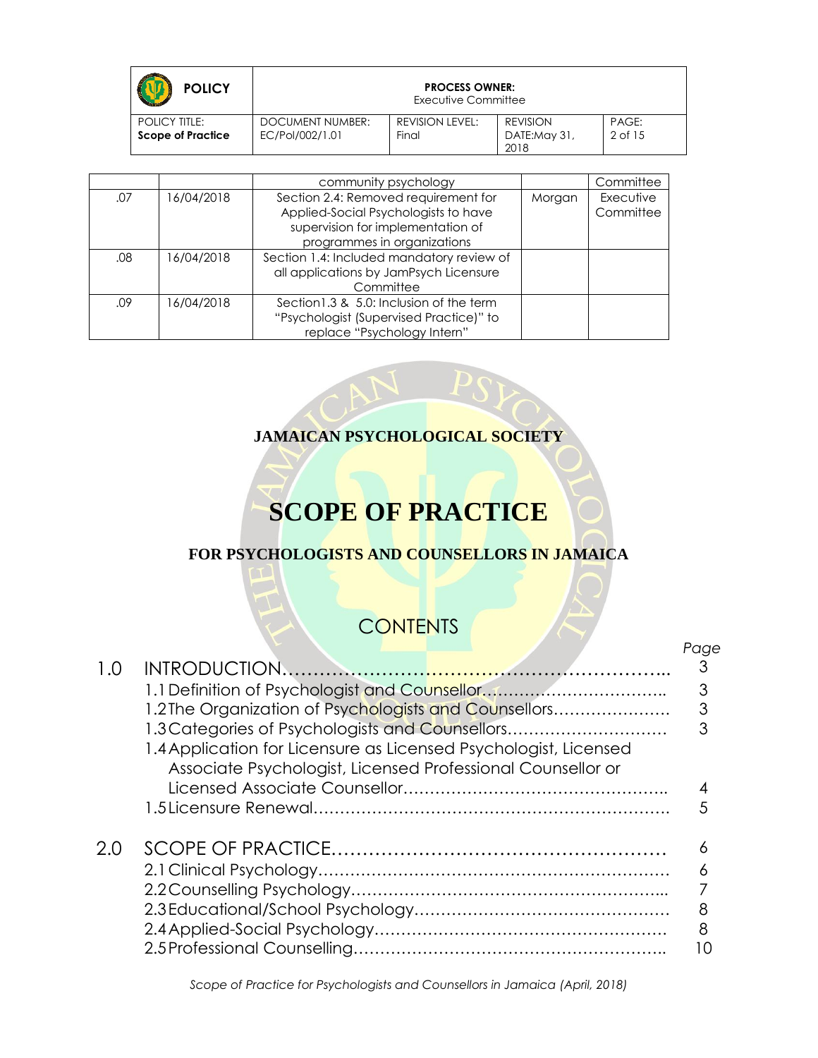| <b>POLICY</b>                                    | <b>PROCESS OWNER:</b><br>Executive Committee |                          |                                         |                  |
|--------------------------------------------------|----------------------------------------------|--------------------------|-----------------------------------------|------------------|
| <b>POLICY TITLE:</b><br><b>Scope of Practice</b> | DOCUMENT NUMBER:<br>EC/Pol/002/1.01          | REVISION LEVEL:<br>Final | <b>REVISION</b><br>DATE:May 31,<br>2018 | PAGE:<br>2 of 15 |

|     |            | community psychology                      |        | Committee |
|-----|------------|-------------------------------------------|--------|-----------|
| .07 | 16/04/2018 | Section 2.4: Removed requirement for      | Morgan | Executive |
|     |            | Applied-Social Psychologists to have      |        | Committee |
|     |            | supervision for implementation of         |        |           |
|     |            | programmes in organizations               |        |           |
| .08 | 16/04/2018 | Section 1.4: Included mandatory review of |        |           |
|     |            | all applications by JamPsych Licensure    |        |           |
|     |            | Committee                                 |        |           |
| .09 | 16/04/2018 | Section 1.3 & 5.0: Inclusion of the term  |        |           |
|     |            | "Psychologist (Supervised Practice)" to   |        |           |
|     |            | replace "Psychology Intern"               |        |           |

#### **JAMAICAN PSYCHOLOGICAL SOCIETY**

# **SCOPE OF PRACTICE**

#### **FOR PSYCHOLOGISTS AND COUNSELLORS IN JAMAICA**

# **CONTENTS**

|     |                                                                                                                                 | Page |
|-----|---------------------------------------------------------------------------------------------------------------------------------|------|
| 1.0 |                                                                                                                                 |      |
|     |                                                                                                                                 | 3    |
|     | 1.2 The Organization of Psychologists and Counsellors                                                                           | 3    |
|     | 1.3 Categories of Psychologists and Counsellors                                                                                 | 3    |
|     | 1.4 Application for Licensure as Licensed Psychologist, Licensed<br>Associate Psychologist, Licensed Professional Counsellor or |      |
|     |                                                                                                                                 |      |
|     |                                                                                                                                 |      |
| 2.0 |                                                                                                                                 | Α    |
|     |                                                                                                                                 |      |
|     |                                                                                                                                 |      |
|     |                                                                                                                                 | 8    |
|     |                                                                                                                                 | 8    |
|     |                                                                                                                                 |      |

*Scope of Practice for Psychologists and Counsellors in Jamaica (April, 2018)*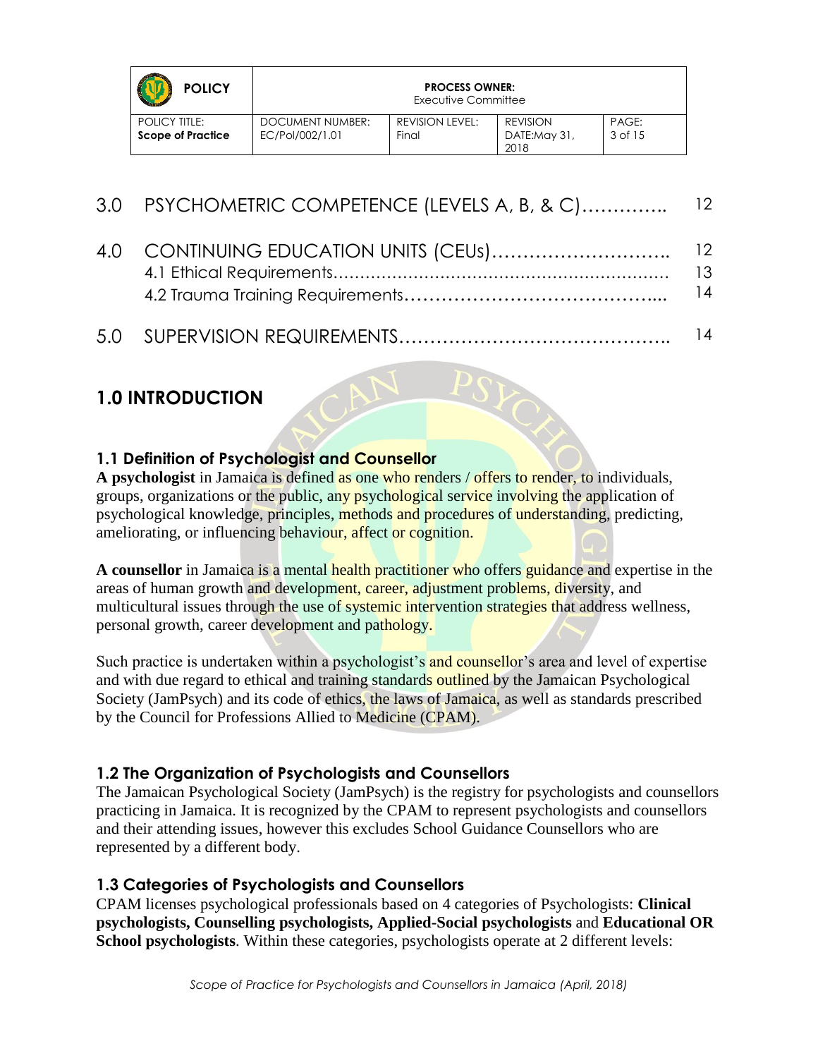| <b>POLICY</b>                                    |                                     | <b>PROCESS OWNER:</b><br>Executive Committee |                                         |                  |
|--------------------------------------------------|-------------------------------------|----------------------------------------------|-----------------------------------------|------------------|
| <b>POLICY TITLE:</b><br><b>Scope of Practice</b> | DOCUMENT NUMBER:<br>EC/Pol/002/1.01 | REVISION LEVEL:<br>Final                     | <b>REVISION</b><br>DATE:May 31,<br>2018 | PAGE:<br>3 of 15 |

| 3.0 PSYCHOMETRIC COMPETENCE (LEVELS A, B, & C) 12 |          |
|---------------------------------------------------|----------|
|                                                   | 13<br>14 |
|                                                   |          |

## **1.0 INTRODUCTION**

#### **1.1 Definition of Psychologist and Counsellor**

**A psychologist** in Jamaica is defined as one who renders / offers to render, to individuals, groups, organizations or the public, any psychological service involving the application of psychological knowledge, principles, methods and procedures of understanding, predicting, ameliorating, or influencing behaviour, affect or cognition.

**A counsellor** in Jamaica is a mental health practitioner who offers guidance and expertise in the areas of human growth and development, career, adjustment problems, diversity, and multicultural issues through the use of systemic intervention strategies that address wellness, personal growth, career development and pathology.

Such practice is undertaken within a psychologist's and counsellor's area and level of expertise and with due regard to ethical and training standards outlined by the Jamaican Psychological Society (JamPsych) and its code of ethics, the laws of Jamaica, as well as standards prescribed by the Council for Professions Allied to Medicine (CPAM).

#### **1.2 The Organization of Psychologists and Counsellors**

The Jamaican Psychological Society (JamPsych) is the registry for psychologists and counsellors practicing in Jamaica. It is recognized by the CPAM to represent psychologists and counsellors and their attending issues, however this excludes School Guidance Counsellors who are represented by a different body.

#### **1.3 Categories of Psychologists and Counsellors**

CPAM licenses psychological professionals based on 4 categories of Psychologists: **Clinical psychologists, Counselling psychologists, Applied-Social psychologists** and **Educational OR School psychologists**. Within these categories, psychologists operate at 2 different levels: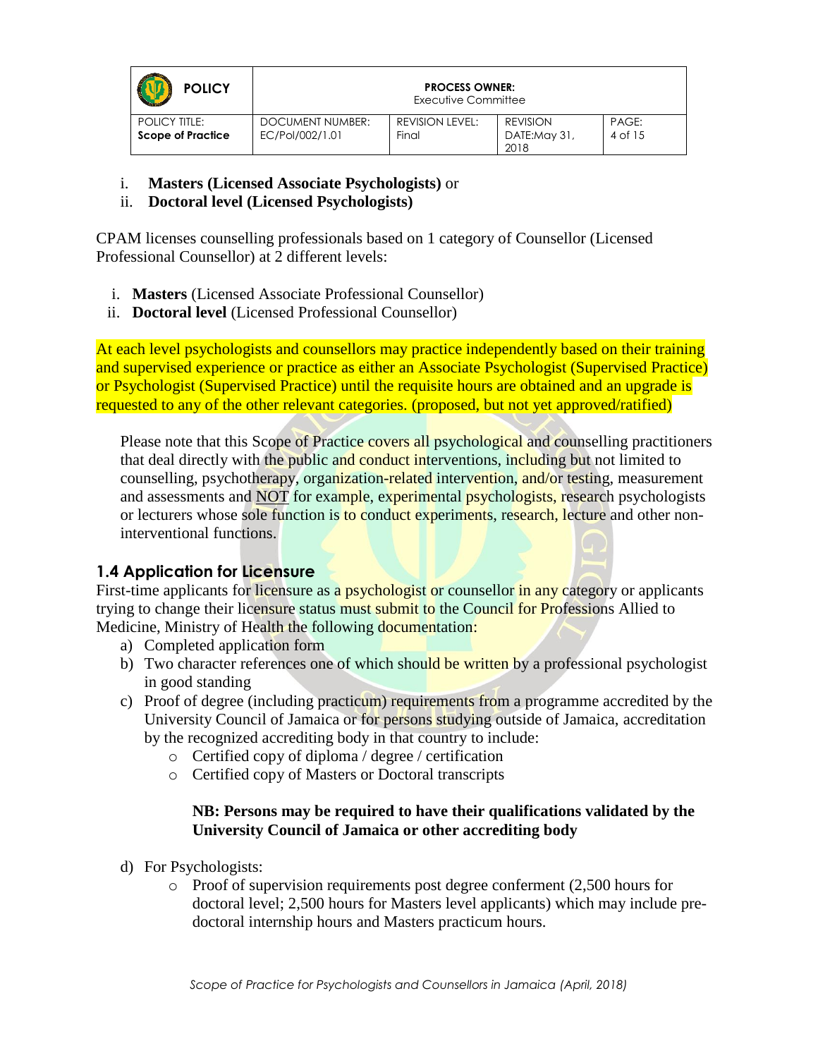| <b>POLICY</b>                                    |                                            | <b>PROCESS OWNER:</b><br>Executive Committee |                                         |                  |
|--------------------------------------------------|--------------------------------------------|----------------------------------------------|-----------------------------------------|------------------|
| <b>POLICY TITLE:</b><br><b>Scope of Practice</b> | <b>DOCUMENT NUMBER:</b><br>EC/Pol/002/1.01 | REVISION LEVEL:<br>Final                     | <b>REVISION</b><br>DATE:May 31,<br>2018 | PAGE:<br>4 of 15 |

- i. **Masters (Licensed Associate Psychologists)** or
- ii. **Doctoral level (Licensed Psychologists)**

CPAM licenses counselling professionals based on 1 category of Counsellor (Licensed Professional Counsellor) at 2 different levels:

- i. **Masters** (Licensed Associate Professional Counsellor)
- ii. **Doctoral level** (Licensed Professional Counsellor)

At each level psychologists and counsellors may practice independently based on their training and supervised experience or practice as either an Associate Psychologist (Supervised Practice) or Psychologist (Supervised Practice) until the requisite hours are obtained and an upgrade is requested to any of the other relevant categories. (proposed, but not yet approved/ratified)

Please note that this Scope of Practice covers all psychological and counselling practitioners that deal directly with the public and conduct interventions, including but not limited to counselling, psychotherapy, organization-related intervention, and/or testing, measurement and assessments and **NOT** for example, experimental psychologists, research psychologists or lecturers whose sole function is to conduct experiments, research, lecture and other noninterventional functions.

#### **1.4 Application for Licensure**

First-time applicants for licensure as a psychologist or counsellor in any category or applicants trying to change their licensure status must submit to the Council for Professions Allied to Medicine, Ministry of Health the following documentation:

- a) Completed application form
- b) Two character references one of which should be written by a professional psychologist in good standing
- c) Proof of degree (including practicum) requirements from a programme accredited by the University Council of Jamaica or for persons studying outside of Jamaica, accreditation by the recognized accrediting body in that country to include:
	- o Certified copy of diploma / degree / certification
	- o Certified copy of Masters or Doctoral transcripts

#### **NB: Persons may be required to have their qualifications validated by the University Council of Jamaica or other accrediting body**

- d) For Psychologists:
	- $\circ$  Proof of supervision requirements post degree conferment (2,500 hours for doctoral level; 2,500 hours for Masters level applicants) which may include predoctoral internship hours and Masters practicum hours.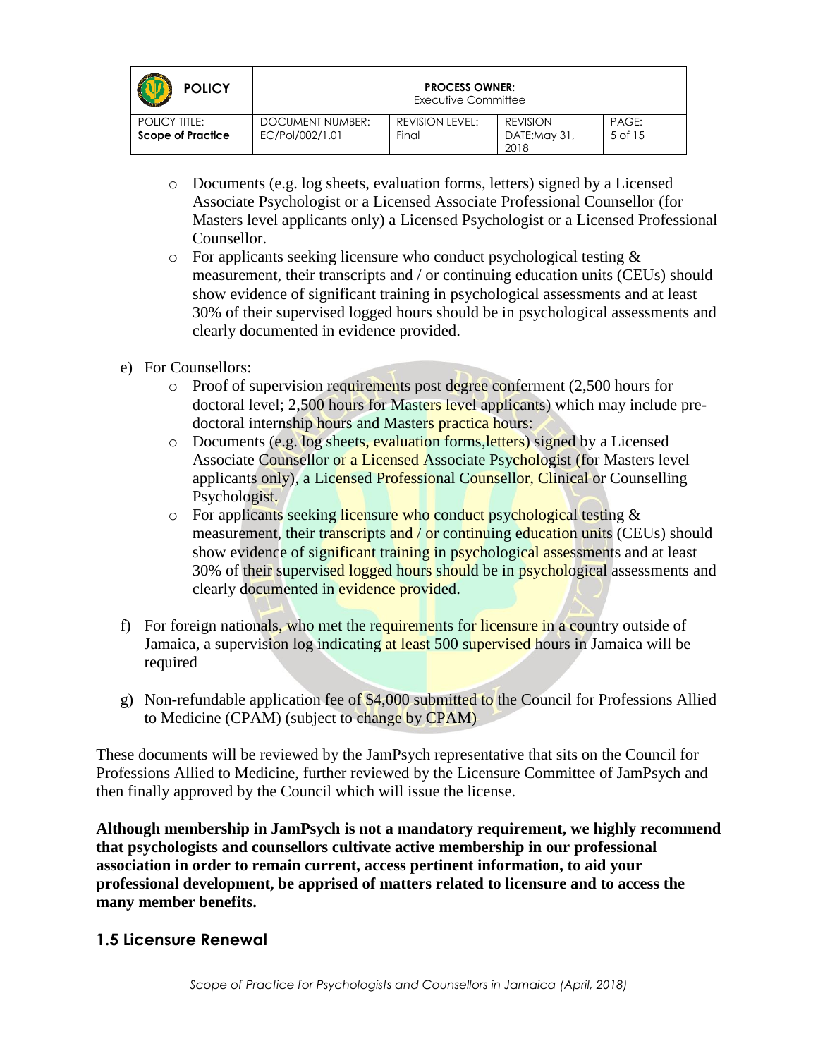| <b>POLICY</b>                                    |                                     | <b>PROCESS OWNER:</b><br>Executive Committee |                                         |                  |
|--------------------------------------------------|-------------------------------------|----------------------------------------------|-----------------------------------------|------------------|
| <b>POLICY TITLE:</b><br><b>Scope of Practice</b> | DOCUMENT NUMBER:<br>EC/Pol/002/1.01 | REVISION LEVEL:<br>Final                     | <b>REVISION</b><br>DATE:May 31,<br>2018 | PAGE:<br>5 of 15 |

- o Documents (e.g. log sheets, evaluation forms, letters) signed by a Licensed Associate Psychologist or a Licensed Associate Professional Counsellor (for Masters level applicants only) a Licensed Psychologist or a Licensed Professional Counsellor.
- $\circ$  For applicants seeking licensure who conduct psychological testing  $\&$ measurement, their transcripts and / or continuing education units (CEUs) should show evidence of significant training in psychological assessments and at least 30% of their supervised logged hours should be in psychological assessments and clearly documented in evidence provided.
- e) For Counsellors:
	- $\circ$  Proof of supervision requirements post degree conferment (2,500 hours for doctoral level; 2,500 hours for Masters level applicants) which may include predoctoral internship hours and Masters practica hours:
	- o Documents (e.g. log sheets, evaluation forms,letters) signed by a Licensed Associate Counsellor or a Licensed Associate Psychologist (for Masters level applicants only), a Licensed Professional Counsellor, Clinical or Counselling Psychologist.
	- $\circ$  For applicants seeking licensure who conduct psychological testing  $\&$ measurement, their transcripts and / or continuing education units (CEUs) should show evidence of significant training in psychological assessments and at least 30% of their supervised logged hours should be in psychological assessments and clearly documented in evidence provided.
- f) For foreign nationals, who met the requirements for licensure in a country outside of Jamaica, a supervision log indicating at least 500 supervised hours in Jamaica will be required
- g) Non-refundable application fee of \$4,000 submitted to the Council for Professions Allied to Medicine (CPAM) (subject to change by CPAM)

These documents will be reviewed by the JamPsych representative that sits on the Council for Professions Allied to Medicine, further reviewed by the Licensure Committee of JamPsych and then finally approved by the Council which will issue the license.

**Although membership in JamPsych is not a mandatory requirement, we highly recommend that psychologists and counsellors cultivate active membership in our professional association in order to remain current, access pertinent information, to aid your professional development, be apprised of matters related to licensure and to access the many member benefits.** 

#### **1.5 Licensure Renewal**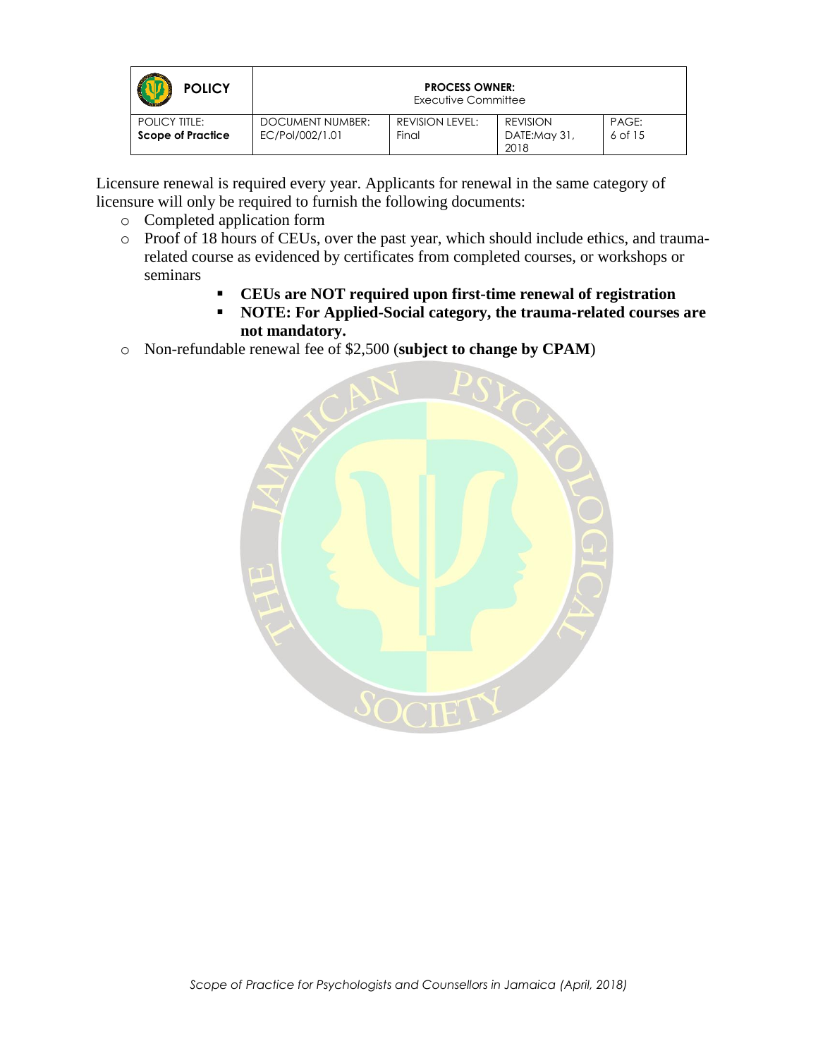| <b>POLICY</b>                                    |                                     | <b>PROCESS OWNER:</b><br>Executive Committee |                                         |                  |
|--------------------------------------------------|-------------------------------------|----------------------------------------------|-----------------------------------------|------------------|
| <b>POLICY TITLE:</b><br><b>Scope of Practice</b> | DOCUMENT NUMBER:<br>EC/Pol/002/1.01 | REVISION LEVEL:<br>Final                     | <b>REVISION</b><br>DATE:May 31,<br>2018 | PAGE:<br>6 of 15 |

Licensure renewal is required every year. Applicants for renewal in the same category of licensure will only be required to furnish the following documents:

- o Completed application form
- o Proof of 18 hours of CEUs, over the past year, which should include ethics, and traumarelated course as evidenced by certificates from completed courses, or workshops or seminars
	- **CEUs are NOT required upon first-time renewal of registration**
	- **NOTE: For Applied-Social category, the trauma-related courses are not mandatory.**
- o Non-refundable renewal fee of \$2,500 (**subject to change by CPAM**)

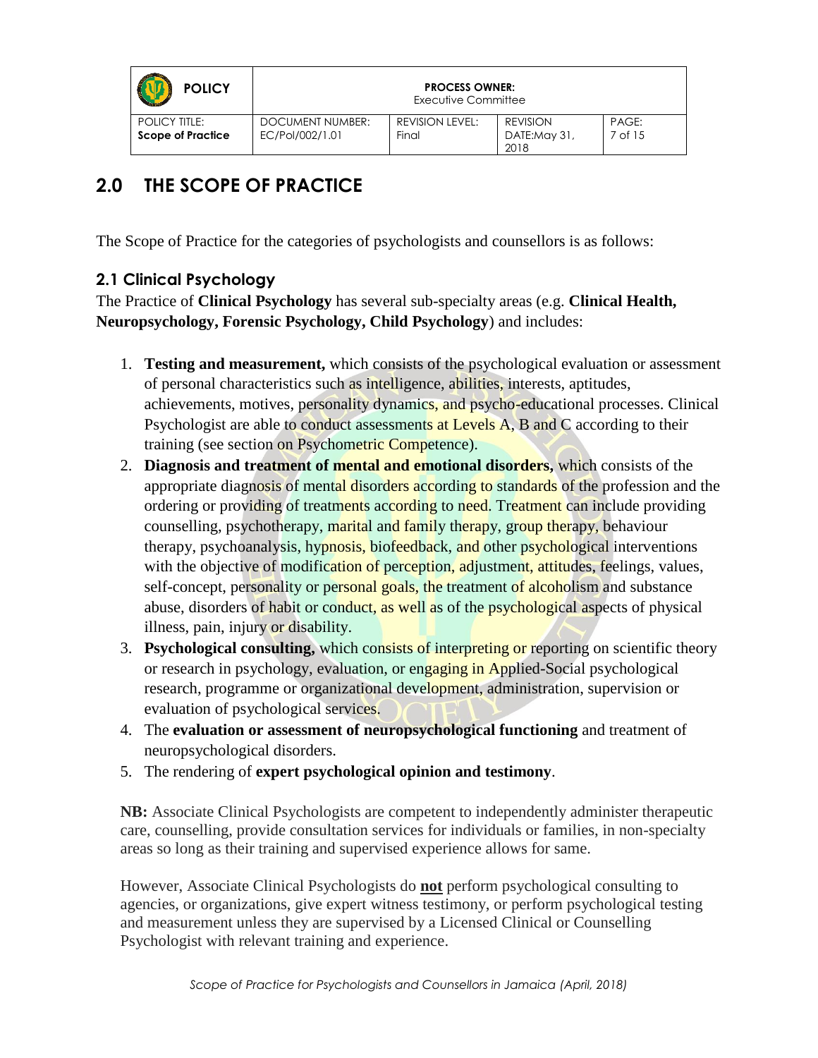| <b>POLICY</b>                                    |                                     | <b>PROCESS OWNER:</b><br>Executive Committee |                                         |                  |
|--------------------------------------------------|-------------------------------------|----------------------------------------------|-----------------------------------------|------------------|
| <b>POLICY TITLE:</b><br><b>Scope of Practice</b> | DOCUMENT NUMBER:<br>EC/Pol/002/1.01 | REVISION LEVEL:<br>Final                     | <b>REVISION</b><br>DATE:May 31,<br>2018 | PAGE:<br>7 of 15 |

# **2.0 THE SCOPE OF PRACTICE**

The Scope of Practice for the categories of psychologists and counsellors is as follows:

#### **2.1 Clinical Psychology**

The Practice of **Clinical Psychology** has several sub-specialty areas (e.g. **Clinical Health, Neuropsychology, Forensic Psychology, Child Psychology**) and includes:

- 1. **Testing and measurement,** which consists of the psychological evaluation or assessment of personal characteristics such as intelligence, abilities, interests, aptitudes, achievements, motives, personality dynamics, and psycho-educational processes. Clinical Psychologist are able to conduct assessments at Levels A, B and C according to their training (see section on Psychometric Competence).
- 2. **Diagnosis and treatment of mental and emotional disorders,** which consists of the appropriate diagnosis of mental disorders according to standards of the profession and the ordering or providing of treatments according to need. Treatment can include providing counselling, psychotherapy, marital and family therapy, group therapy, behaviour therapy, psychoanalysis, hypnosis, biofeedback, and other psychological interventions with the objective of modification of perception, adjustment, attitudes, feelings, values, self-concept, personality or personal goals, the treatment of alcoholism and substance abuse, disorders of habit or conduct, as well as of the psychological aspects of physical illness, pain, injury or disability.
- 3. **Psychological consulting,** which consists of interpreting or reporting on scientific theory or research in psychology, evaluation, or engaging in Applied-Social psychological research, programme or organizational development, administration, supervision or evaluation of psychological services.
- 4. The **evaluation or assessment of neuropsychological functioning** and treatment of neuropsychological disorders.
- 5. The rendering of **expert psychological opinion and testimony**.

**NB:** Associate Clinical Psychologists are competent to independently administer therapeutic care, counselling, provide consultation services for individuals or families, in non-specialty areas so long as their training and supervised experience allows for same.

However, Associate Clinical Psychologists do **not** perform psychological consulting to agencies, or organizations, give expert witness testimony, or perform psychological testing and measurement unless they are supervised by a Licensed Clinical or Counselling Psychologist with relevant training and experience.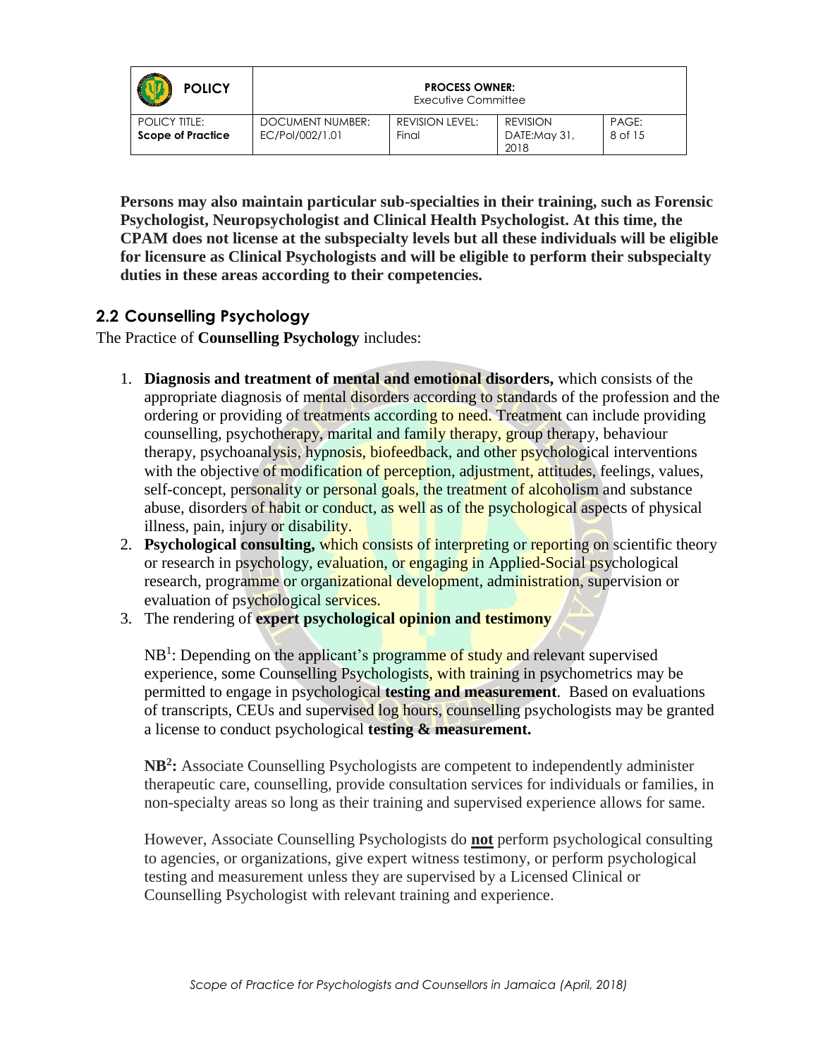| <b>POLICY</b>                                    | <b>PROCESS OWNER:</b><br>Executive Committee |                                 |                                         |                  |
|--------------------------------------------------|----------------------------------------------|---------------------------------|-----------------------------------------|------------------|
| <b>POLICY TITLE:</b><br><b>Scope of Practice</b> | DOCUMENT NUMBER:<br>EC/Pol/002/1.01          | <b>REVISION LEVEL:</b><br>Final | <b>REVISION</b><br>DATE:May 31,<br>2018 | PAGE:<br>8 of 15 |

**Persons may also maintain particular sub-specialties in their training, such as Forensic Psychologist, Neuropsychologist and Clinical Health Psychologist. At this time, the CPAM does not license at the subspecialty levels but all these individuals will be eligible for licensure as Clinical Psychologists and will be eligible to perform their subspecialty duties in these areas according to their competencies.**

#### **2.2 Counselling Psychology**

The Practice of **Counselling Psychology** includes:

- 1. **Diagnosis and treatment of mental and emotional disorders,** which consists of the appropriate diagnosis of mental disorders according to standards of the profession and the ordering or providing of treatments according to need. Treatment can include providing counselling, psychotherapy, marital and family therapy, group therapy, behaviour therapy, psychoanalysis, hypnosis, biofeedback, and other psychological interventions with the objective of modification of perception, adjustment, attitudes, feelings, values, self-concept, personality or personal goals, the treatment of alcoholism and substance abuse, disorders of habit or conduct, as well as of the psychological aspects of physical illness, pain, injury or disability.
- 2. **Psychological consulting,** which consists of interpreting or reporting on scientific theory or research in psychology, evaluation, or engaging in Applied-Social psychological research, programme or organizational development, administration, supervision or evaluation of psychological services.
- 3. The rendering of **expert psychological opinion and testimony**

NB<sup>1</sup>: Depending on the applicant's programme of study and relevant supervised experience, some Counselling Psychologists, with training in psychometrics may be permitted to engage in psychological **testing and measurement**. Based on evaluations of transcripts, CEUs and supervised log hours, counselling psychologists may be granted a license to conduct psychological **testing & measurement.**

**NB<sup>2</sup> :** Associate Counselling Psychologists are competent to independently administer therapeutic care, counselling, provide consultation services for individuals or families, in non-specialty areas so long as their training and supervised experience allows for same.

However, Associate Counselling Psychologists do **not** perform psychological consulting to agencies, or organizations, give expert witness testimony, or perform psychological testing and measurement unless they are supervised by a Licensed Clinical or Counselling Psychologist with relevant training and experience.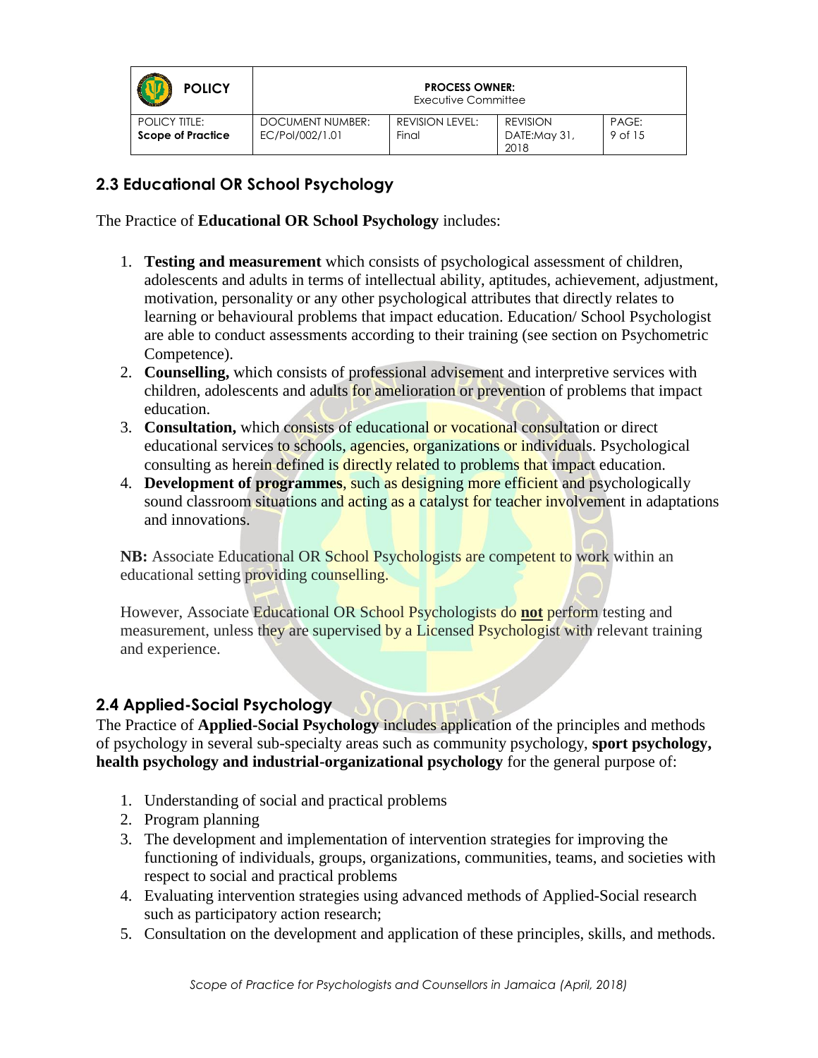| <b>POLICY</b>                                    |                                     | <b>PROCESS OWNER:</b><br>Executive Committee |                                         |                  |
|--------------------------------------------------|-------------------------------------|----------------------------------------------|-----------------------------------------|------------------|
| <b>POLICY TITLE:</b><br><b>Scope of Practice</b> | DOCUMENT NUMBER:<br>EC/Pol/002/1.01 | REVISION LEVEL:<br>Final                     | <b>REVISION</b><br>DATE:May 31,<br>2018 | PAGE:<br>9 of 15 |

#### **2.3 Educational OR School Psychology**

The Practice of **Educational OR School Psychology** includes:

- 1. **Testing and measurement** which consists of psychological assessment of children, adolescents and adults in terms of intellectual ability, aptitudes, achievement, adjustment, motivation, personality or any other psychological attributes that directly relates to learning or behavioural problems that impact education. Education/ School Psychologist are able to conduct assessments according to their training (see section on Psychometric Competence).
- 2. **Counselling,** which consists of professional advisement and interpretive services with children, adolescents and adults for amelioration or prevention of problems that impact education.
- 3. **Consultation,** which consists of educational or vocational consultation or direct educational services to schools, agencies, organizations or individuals. Psychological consulting as herein defined is directly related to problems that impact education.
- 4. **Development of programmes**, such as designing more efficient and psychologically sound classroom situations and acting as a catalyst for teacher involvement in adaptations and innovations.

**NB:** Associate Educational OR School Psychologists are competent to work within an educational setting providing counselling.

However, Associate Educational OR School Psychologists do **not** perform testing and measurement, unless they are supervised by a Licensed Psychologist with relevant training and experience.

#### **2.4 Applied-Social Psychology**

The Practice of **Applied-Social Psychology** includes application of the principles and methods of psychology in several sub-specialty areas such as community psychology, **sport psychology, health psychology and industrial-organizational psychology** for the general purpose of:

- 1. Understanding of social and practical problems
- 2. Program planning
- 3. The development and implementation of intervention strategies for improving the functioning of individuals, groups, organizations, communities, teams, and societies with respect to social and practical problems
- 4. Evaluating intervention strategies using advanced methods of Applied-Social research such as participatory action research;
- 5. Consultation on the development and application of these principles, skills, and methods.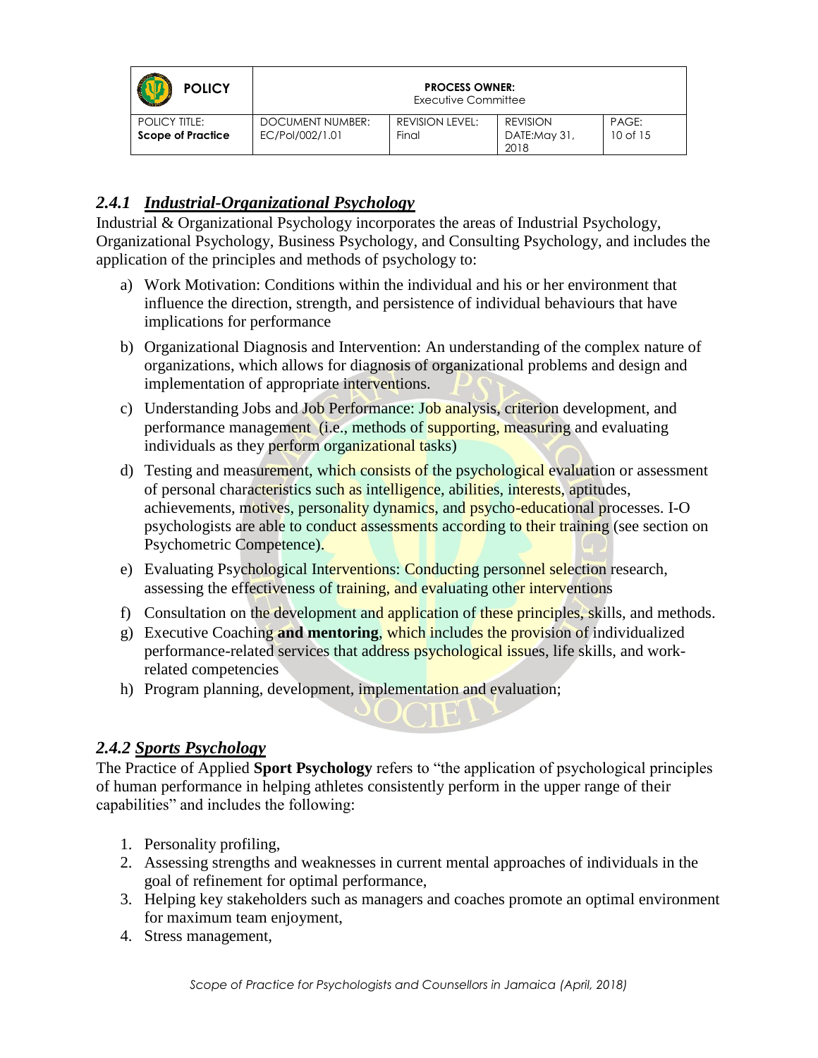| <b>POLICY</b>                                    |                                     | <b>PROCESS OWNER:</b><br>Executive Committee |                                         |                       |
|--------------------------------------------------|-------------------------------------|----------------------------------------------|-----------------------------------------|-----------------------|
| <b>POLICY TITLE:</b><br><b>Scope of Practice</b> | DOCUMENT NUMBER:<br>EC/Pol/002/1.01 | REVISION LEVEL:<br>Final                     | <b>REVISION</b><br>DATE:May 31,<br>2018 | PAGE:<br>$10$ of $15$ |

#### *2.4.1 Industrial-Organizational Psychology*

Industrial & Organizational Psychology incorporates the areas of Industrial Psychology, Organizational Psychology, Business Psychology, and Consulting Psychology, and includes the application of the principles and methods of psychology to:

- a) Work Motivation: Conditions within the individual and his or her environment that influence the direction, strength, and persistence of individual behaviours that have implications for performance
- b) Organizational Diagnosis and Intervention: An understanding of the complex nature of organizations, which allows for diagnosis of organizational problems and design and implementation of appropriate interventions.
- c) Understanding Jobs and Job Performance: Job analysis, criterion development, and performance management (i.e., methods of supporting, measuring and evaluating individuals as they perform organizational tasks)
- d) Testing and measurement, which consists of the psychological evaluation or assessment of personal characteristics such as intelligence, abilities, interests, aptitudes, achievements, motives, personality dynamics, and psycho-educational processes. I-O psychologists are able to conduct assessments according to their training (see section on Psychometric Competence).
- e) Evaluating Psychological Interventions: Conducting personnel selection research, assessing the effectiveness of training, and evaluating other interventions
- f) Consultation on the development and application of these principles, skills, and methods.
- g) Executive Coaching **and mentoring**, which includes the provision of individualized performance-related services that address psychological issues, life skills, and workrelated competencies
- h) Program planning, development, implementation and evaluation;

#### *2.4.2 Sports Psychology*

The Practice of Applied **Sport Psychology** refers to "the application of psychological principles of human performance in helping athletes consistently perform in the upper range of their capabilities" and includes the following:

- 1. Personality profiling,
- 2. Assessing strengths and weaknesses in current mental approaches of individuals in the goal of refinement for optimal performance,
- 3. Helping key stakeholders such as managers and coaches promote an optimal environment for maximum team enjoyment,
- 4. Stress management,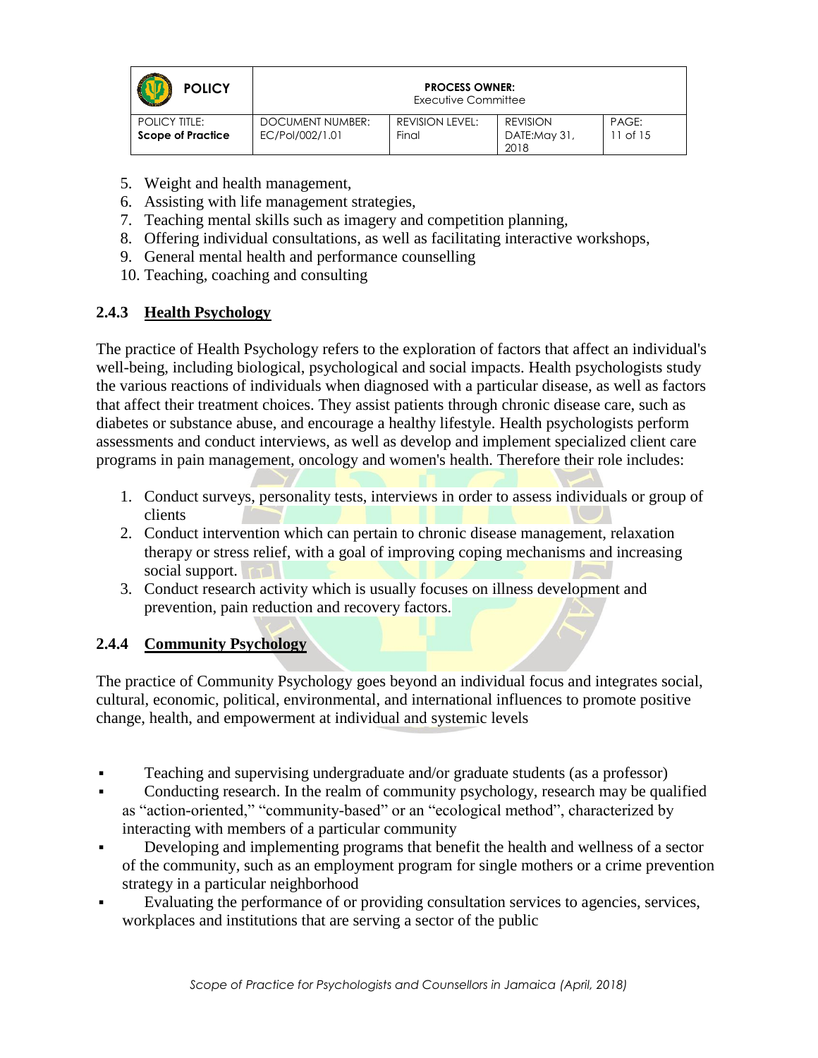| <b>POLICY</b>            |                  | <b>PROCESS OWNER:</b><br>Executive Committee |                      |              |
|--------------------------|------------------|----------------------------------------------|----------------------|--------------|
| POLICY TITLE:            | DOCUMENT NUMBER: | <b>REVISION LEVEL:</b>                       | <b>REVISION</b>      | PAGE:        |
| <b>Scope of Practice</b> | EC/Pol/002/1.01  | Final                                        | DATE:May 31,<br>2018 | $11$ of $15$ |

- 5. Weight and health management,
- 6. Assisting with life management strategies,
- 7. Teaching mental skills such as imagery and competition planning,
- 8. Offering individual consultations, as well as facilitating interactive workshops,
- 9. General mental health and performance counselling
- 10. Teaching, coaching and consulting

#### **2.4.3 Health Psychology**

The practice of Health Psychology refers to the exploration of factors that affect an individual's well-being, including biological, psychological and social impacts. Health psychologists study the various reactions of individuals when diagnosed with a particular disease, as well as factors that affect their treatment choices. They assist patients through chronic disease care, such as diabetes or substance abuse, and encourage a healthy lifestyle. Health psychologists perform assessments and conduct interviews, as well as develop and implement specialized client care programs in pain management, oncology and women's health. Therefore their role includes:

- 1. Conduct surveys, personality tests, interviews in order to assess individuals or group of clients
- 2. Conduct intervention which can pertain to chronic disease management, relaxation therapy or stress relief, with a goal of improving coping mechanisms and increasing social support.
- 3. Conduct research activity which is usually focuses on illness development and prevention, pain reduction and recovery factors.

#### **2.4.4 Community Psychology**

The practice of Community Psychology goes beyond an individual focus and integrates social, cultural, economic, political, environmental, and international influences to promote positive change, health, and empowerment at individual and systemic levels

- Teaching and supervising undergraduate and/or graduate students (as a professor)
- Conducting research. In the realm of community psychology, research may be qualified as "action-oriented," "community-based" or an "ecological method", characterized by interacting with members of a particular community
- Developing and implementing programs that benefit the health and wellness of a sector of the community, such as an employment program for single mothers or a crime prevention strategy in a particular neighborhood
- Evaluating the performance of or providing consultation services to agencies, services, workplaces and institutions that are serving a sector of the public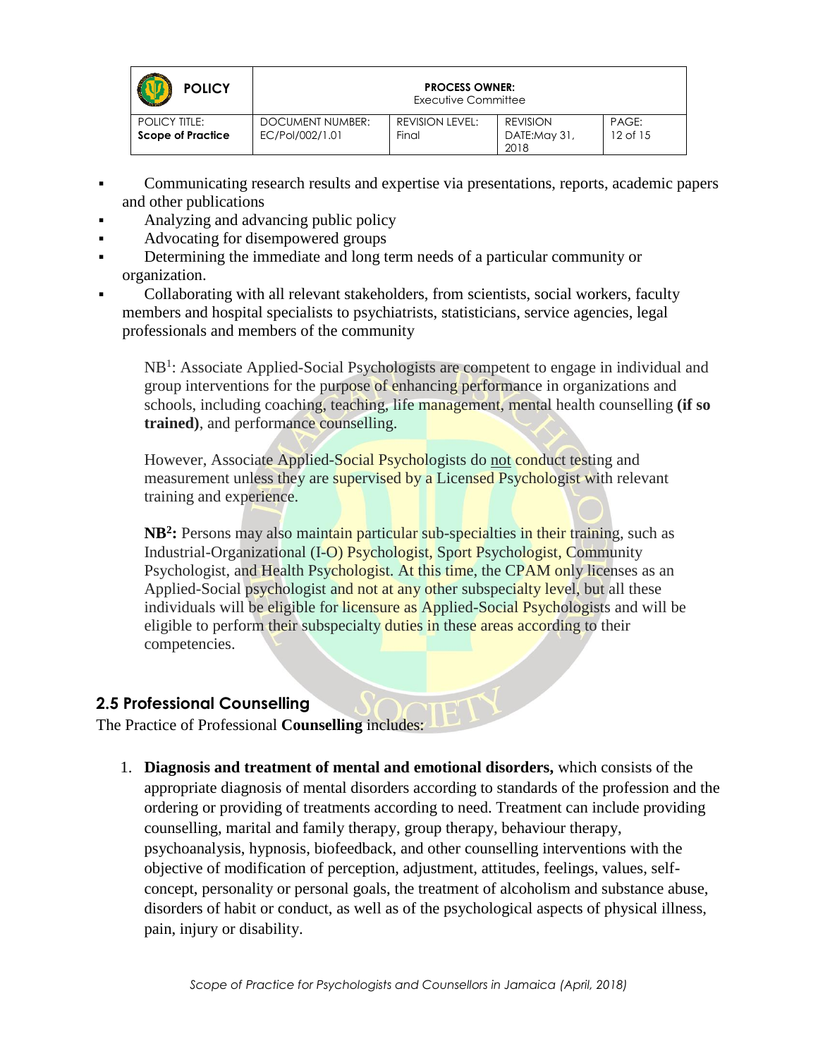| <b>POLICY</b>                                    |                                     | <b>PROCESS OWNER:</b><br>Executive Committee |                                         |                       |
|--------------------------------------------------|-------------------------------------|----------------------------------------------|-----------------------------------------|-----------------------|
| <b>POLICY TITLE:</b><br><b>Scope of Practice</b> | DOCUMENT NUMBER:<br>EC/Pol/002/1.01 | <b>REVISION LEVEL:</b><br>Final              | <b>REVISION</b><br>DATE:May 31,<br>2018 | PAGE:<br>$12$ of $15$ |

- Communicating research results and expertise via presentations, reports, academic papers and other publications
- Analyzing and advancing public policy
- Advocating for disempowered groups
- Determining the immediate and long term needs of a particular community or organization.
- Collaborating with all relevant stakeholders, from scientists, social workers, faculty members and hospital specialists to psychiatrists, statisticians, service agencies, legal professionals and members of the community

NB<sup>1</sup>: Associate Applied-Social Psychologists are competent to engage in individual and group interventions for the purpose of enhancing performance in organizations and schools, including coaching, teaching, life management, mental health counselling **(if so trained)**, and performance counselling.

However, Associate Applied-Social Psychologists do not conduct testing and measurement unless they are supervised by a Licensed Psychologist with relevant training and experience.

**NB<sup>2</sup>**: Persons may also maintain particular sub-specialties in their training, such as Industrial-Organizational (I-O) Psychologist, Sport Psychologist, Community Psychologist, and Health Psychologist. At this time, the CPAM only licenses as an Applied-Social psychologist and not at any other subspecialty level, but all these individuals will be eligible for licensure as Applied-Social Psychologists and will be eligible to perform their subspecialty duties in these areas according to their competencies.

#### **2.5 Professional Counselling**

The Practice of Professional **Counselling** includes:

1. **Diagnosis and treatment of mental and emotional disorders,** which consists of the appropriate diagnosis of mental disorders according to standards of the profession and the ordering or providing of treatments according to need. Treatment can include providing counselling, marital and family therapy, group therapy, behaviour therapy, psychoanalysis, hypnosis, biofeedback, and other counselling interventions with the objective of modification of perception, adjustment, attitudes, feelings, values, selfconcept, personality or personal goals, the treatment of alcoholism and substance abuse, disorders of habit or conduct, as well as of the psychological aspects of physical illness, pain, injury or disability.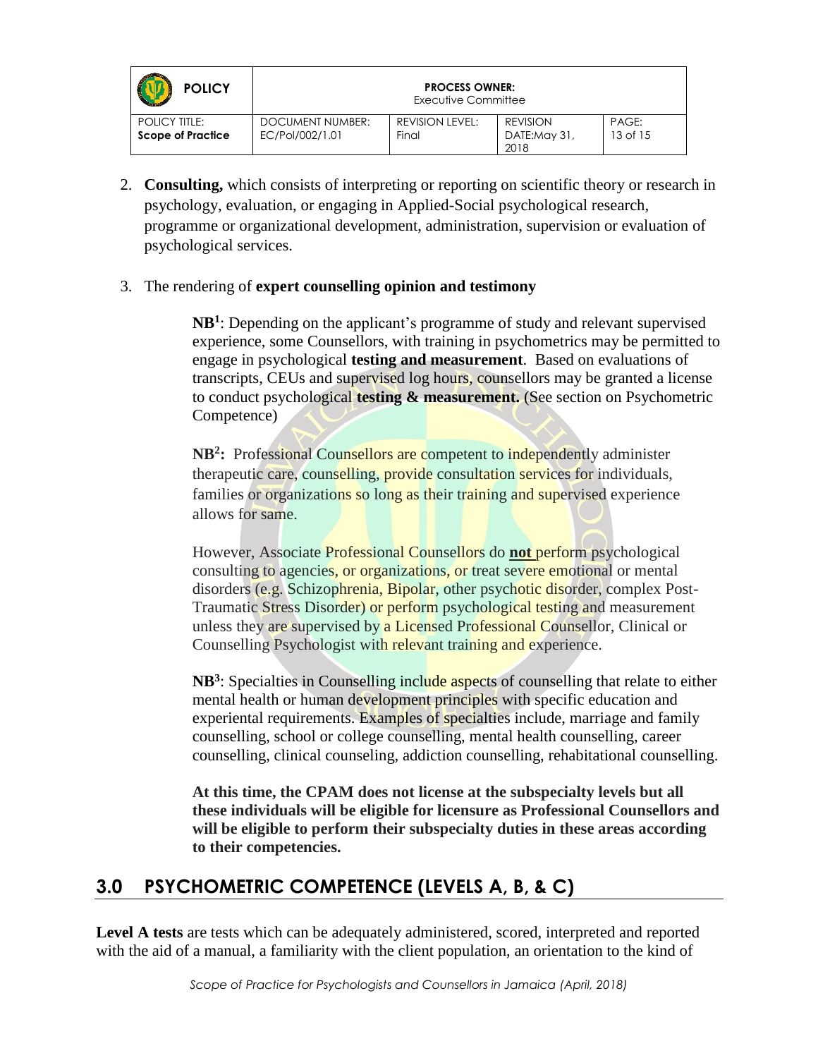| <b>POLICY</b>                                    |                                     | <b>PROCESS OWNER:</b><br>Executive Committee |                                         |                       |
|--------------------------------------------------|-------------------------------------|----------------------------------------------|-----------------------------------------|-----------------------|
| <b>POLICY TITLE:</b><br><b>Scope of Practice</b> | DOCUMENT NUMBER:<br>EC/Pol/002/1.01 | REVISION LEVEL:<br>Final                     | <b>REVISION</b><br>DATE:May 31,<br>2018 | PAGE:<br>$13$ of $15$ |

2. **Consulting,** which consists of interpreting or reporting on scientific theory or research in psychology, evaluation, or engaging in Applied-Social psychological research, programme or organizational development, administration, supervision or evaluation of psychological services.

#### 3. The rendering of **expert counselling opinion and testimony**

**NB<sup>1</sup>** : Depending on the applicant's programme of study and relevant supervised experience, some Counsellors, with training in psychometrics may be permitted to engage in psychological **testing and measurement**. Based on evaluations of transcripts, CEUs and supervised log hours, counsellors may be granted a license to conduct psychological **testing & measurement.** (See section on Psychometric Competence)

**NB<sup>2</sup> :** Professional Counsellors are competent to independently administer therapeutic care, counselling, provide consultation services for individuals, families or organizations so long as their training and supervised experience allows for same.

However, Associate Professional Counsellors do **not** perform psychological consulting to agencies, or organizations, or treat severe emotional or mental disorders (e.g. Schizophrenia, Bipolar, other psychotic disorder, complex Post-Traumatic Stress Disorder) or perform psychological testing and measurement unless they are supervised by a Licensed Professional Counsellor, Clinical or Counselling Psychologist with relevant training and experience.

NB<sup>3</sup>: Specialties in Counselling include aspects of counselling that relate to either mental health or human development principles with specific education and experiental requirements. Examples of specialties include, marriage and family counselling, school or college counselling, mental health counselling, career counselling, clinical counseling, addiction counselling, rehabitational counselling.

**At this time, the CPAM does not license at the subspecialty levels but all these individuals will be eligible for licensure as Professional Counsellors and will be eligible to perform their subspecialty duties in these areas according to their competencies.**

## **3.0 PSYCHOMETRIC COMPETENCE (LEVELS A, B, & C)**

**Level A tests** are tests which can be adequately administered, scored, interpreted and reported with the aid of a manual, a familiarity with the client population, an orientation to the kind of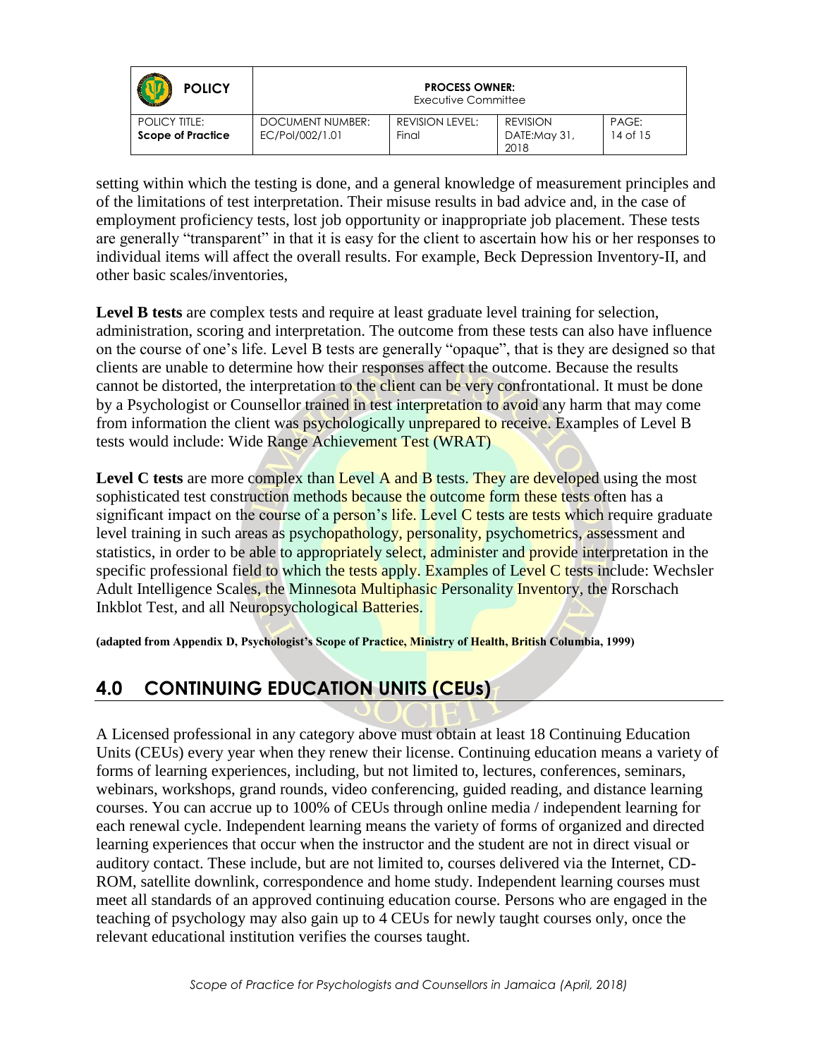| <b>POLICY</b>                             |                                     | <b>PROCESS OWNER:</b><br>Executive Committee |                                         |                   |
|-------------------------------------------|-------------------------------------|----------------------------------------------|-----------------------------------------|-------------------|
| POLICY TITLE:<br><b>Scope of Practice</b> | DOCUMENT NUMBER:<br>EC/Pol/002/1.01 | REVISION LEVEL:<br>Final                     | <b>REVISION</b><br>DATE:May 31,<br>2018 | PAGE:<br>14 of 15 |

setting within which the testing is done, and a general knowledge of measurement principles and of the limitations of test interpretation. Their misuse results in bad advice and, in the case of employment proficiency tests, lost job opportunity or inappropriate job placement. These tests are generally "transparent" in that it is easy for the client to ascertain how his or her responses to individual items will affect the overall results. For example, Beck Depression Inventory-II, and other basic scales/inventories,

Level **B** tests are complex tests and require at least graduate level training for selection, administration, scoring and interpretation. The outcome from these tests can also have influence on the course of one's life. Level B tests are generally "opaque", that is they are designed so that clients are unable to determine how their responses affect the outcome. Because the results cannot be distorted, the interpretation to the client can be very confrontational. It must be done by a Psychologist or Counsellor trained in test interpretation to avoid any harm that may come from information the client was psychologically unprepared to receive. Examples of Level B tests would include: Wide Range Achievement Test (WRAT)

Level C tests are more complex than Level A and B tests. They are developed using the most sophisticated test construction methods because the outcome form these tests often has a significant impact on the course of a person's life. Level  $C$  tests are tests which require graduate level training in such areas as psychopathology, personality, psychometrics, assessment and statistics, in order to be able to appropriately select, administer and provide interpretation in the specific professional field to which the tests apply. Examples of Level C tests include: Wechsler Adult Intelligence Scales, the Minnesota Multiphasic Personality Inventory, the Rorschach Inkblot Test, and all Neuropsychological Batteries.

**(adapted from Appendix D, Psychologist's Scope of Practice, Ministry of Health, British Columbia, 1999)**

# **4.0 CONTINUING EDUCATION UNITS (CEUs)**

A Licensed professional in any category above must obtain at least 18 Continuing Education Units (CEUs) every year when they renew their license. Continuing education means a variety of forms of learning experiences, including, but not limited to, lectures, conferences, seminars, webinars, workshops, grand rounds, video conferencing, guided reading, and distance learning courses. You can accrue up to 100% of CEUs through online media / independent learning for each renewal cycle. Independent learning means the variety of forms of organized and directed learning experiences that occur when the instructor and the student are not in direct visual or auditory contact. These include, but are not limited to, courses delivered via the Internet, CD-ROM, satellite downlink, correspondence and home study. Independent learning courses must meet all standards of an approved continuing education course. Persons who are engaged in the teaching of psychology may also gain up to 4 CEUs for newly taught courses only, once the relevant educational institution verifies the courses taught.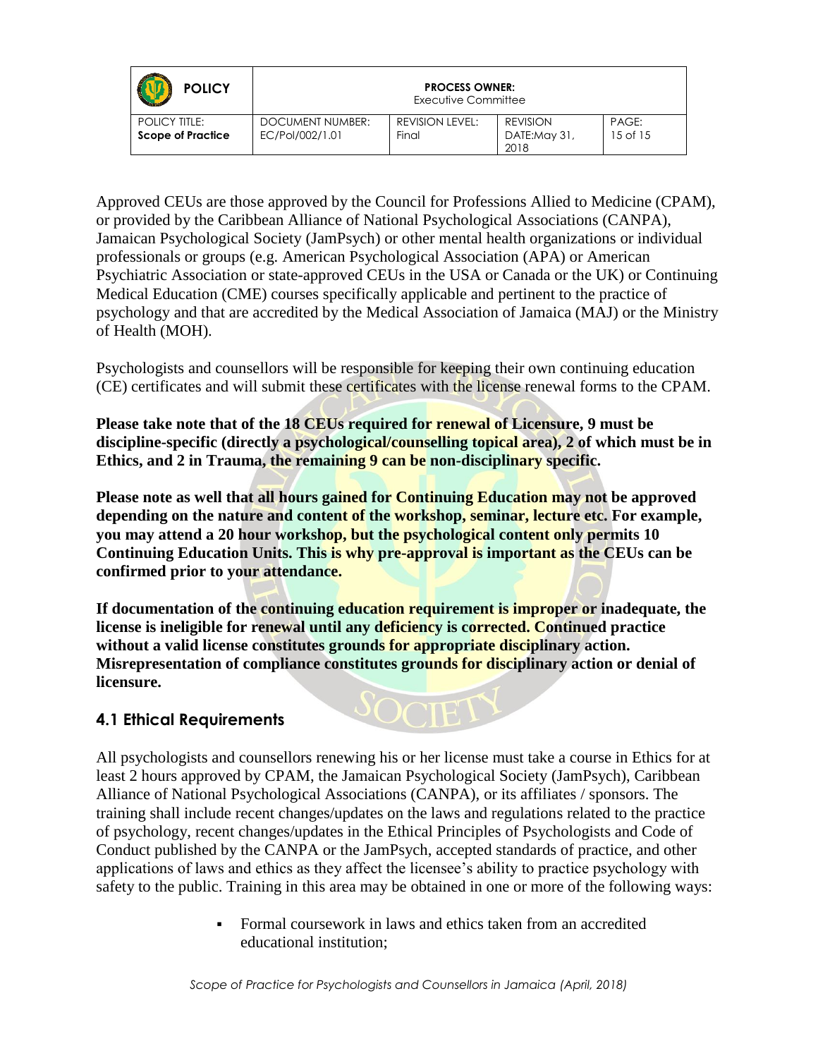| <b>POLICY</b>                                    |                                     | <b>PROCESS OWNER:</b><br>Executive Committee |                                  |                       |
|--------------------------------------------------|-------------------------------------|----------------------------------------------|----------------------------------|-----------------------|
| <b>POLICY TITLE:</b><br><b>Scope of Practice</b> | DOCUMENT NUMBER:<br>EC/Pol/002/1.01 | <b>REVISION LEVEL:</b><br>Final              | REVISION<br>DATE:May 31,<br>2018 | PAGE:<br>$15$ of $15$ |

Approved CEUs are those approved by the Council for Professions Allied to Medicine (CPAM), or provided by the Caribbean Alliance of National Psychological Associations (CANPA), Jamaican Psychological Society (JamPsych) or other mental health organizations or individual professionals or groups (e.g. American Psychological Association (APA) or American Psychiatric Association or state-approved CEUs in the USA or Canada or the UK) or Continuing Medical Education (CME) courses specifically applicable and pertinent to the practice of psychology and that are accredited by the Medical Association of Jamaica (MAJ) or the Ministry of Health (MOH).

Psychologists and counsellors will be responsible for keeping their own continuing education (CE) certificates and will submit these certificates with the license renewal forms to the CPAM.

**Please take note that of the 18 CEUs required for renewal of Licensure, 9 must be discipline-specific (directly a psychological/counselling topical area), 2 of which must be in Ethics, and 2 in Trauma, the remaining 9 can be non-disciplinary specific.** 

**Please note as well that all hours gained for Continuing Education may not be approved depending on the nature and content of the workshop, seminar, lecture etc. For example, you may attend a 20 hour workshop, but the psychological content only permits 10 Continuing Education Units. This is why pre-approval is important as the CEUs can be confirmed prior to your attendance.**

**If documentation of the continuing education requirement is improper or inadequate, the license is ineligible for renewal until any deficiency is corrected. Continued practice without a valid license constitutes grounds for appropriate disciplinary action. Misrepresentation of compliance constitutes grounds for disciplinary action or denial of licensure.** 

#### **4.1 Ethical Requirements**

All psychologists and counsellors renewing his or her license must take a course in Ethics for at least 2 hours approved by CPAM, the Jamaican Psychological Society (JamPsych), Caribbean Alliance of National Psychological Associations (CANPA), or its affiliates / sponsors. The training shall include recent changes/updates on the laws and regulations related to the practice of psychology, recent changes/updates in the Ethical Principles of Psychologists and Code of Conduct published by the CANPA or the JamPsych, accepted standards of practice, and other applications of laws and ethics as they affect the licensee's ability to practice psychology with safety to the public. Training in this area may be obtained in one or more of the following ways:

> • Formal coursework in laws and ethics taken from an accredited educational institution;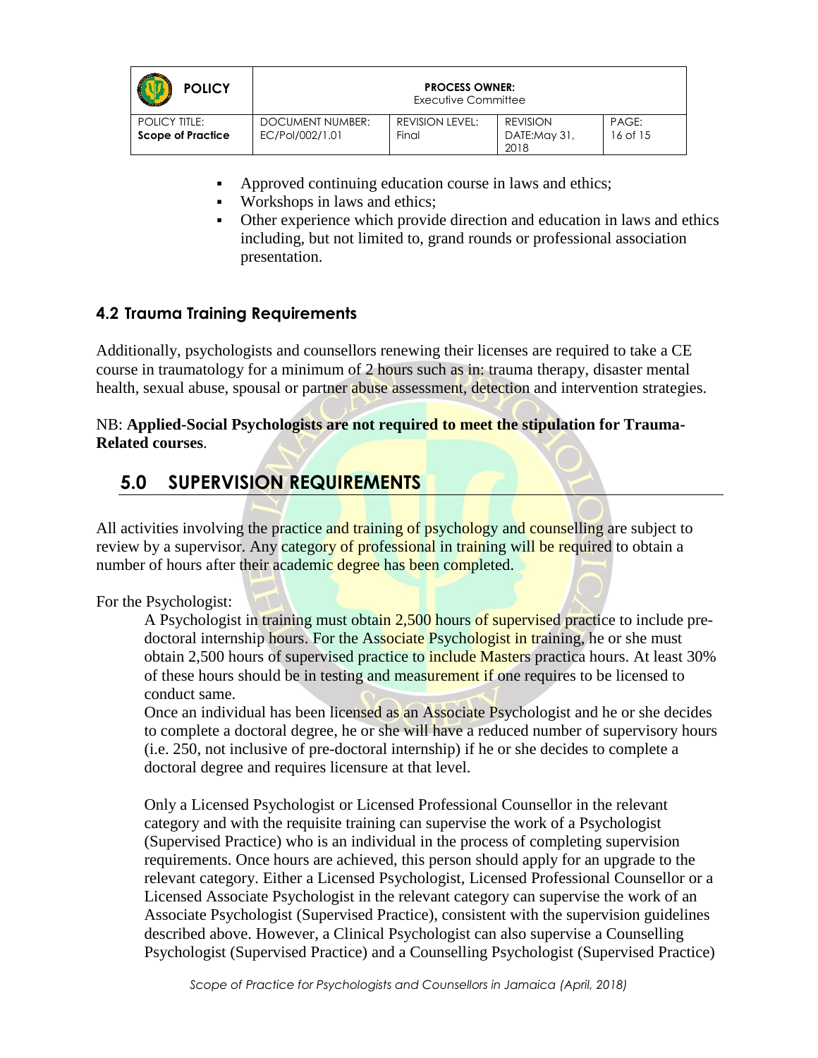| <b>POLICY</b>                                    |                                     | <b>PROCESS OWNER:</b><br>Executive Committee |                                         |                   |
|--------------------------------------------------|-------------------------------------|----------------------------------------------|-----------------------------------------|-------------------|
| <b>POLICY TITLE:</b><br><b>Scope of Practice</b> | DOCUMENT NUMBER:<br>EC/Pol/002/1.01 | REVISION LEVEL:<br>Final                     | <b>REVISION</b><br>DATE:May 31,<br>2018 | PAGE:<br>16 of 15 |

- Approved continuing education course in laws and ethics;
- Workshops in laws and ethics;
- Other experience which provide direction and education in laws and ethics including, but not limited to, grand rounds or professional association presentation.

#### **4.2 Trauma Training Requirements**

Additionally, psychologists and counsellors renewing their licenses are required to take a CE course in traumatology for a minimum of 2 hours such as in: trauma therapy, disaster mental health, sexual abuse, spousal or partner abuse assessment, detection and intervention strategies.

NB: **Applied-Social Psychologists are not required to meet the stipulation for Trauma-Related courses**.

### **5.0 SUPERVISION REQUIREMENTS**

All activities involving the practice and training of psychology and counselling are subject to review by a supervisor. Any category of professional in training will be required to obtain a number of hours after their academic degree has been completed.

#### For the Psychologist:

A Psychologist in training must obtain 2,500 hours of supervised practice to include predoctoral internship hours. For the Associate Psychologist in training, he or she must obtain 2,500 hours of supervised practice to **include Masters** practica hours. At least 30% of these hours should be in testing and measurement if one requires to be licensed to conduct same.

Once an individual has been licensed as an Associate Psychologist and he or she decides to complete a doctoral degree, he or she will have a reduced number of supervisory hours (i.e. 250, not inclusive of pre-doctoral internship) if he or she decides to complete a doctoral degree and requires licensure at that level.

Only a Licensed Psychologist or Licensed Professional Counsellor in the relevant category and with the requisite training can supervise the work of a Psychologist (Supervised Practice) who is an individual in the process of completing supervision requirements. Once hours are achieved, this person should apply for an upgrade to the relevant category. Either a Licensed Psychologist, Licensed Professional Counsellor or a Licensed Associate Psychologist in the relevant category can supervise the work of an Associate Psychologist (Supervised Practice), consistent with the supervision guidelines described above. However, a Clinical Psychologist can also supervise a Counselling Psychologist (Supervised Practice) and a Counselling Psychologist (Supervised Practice)